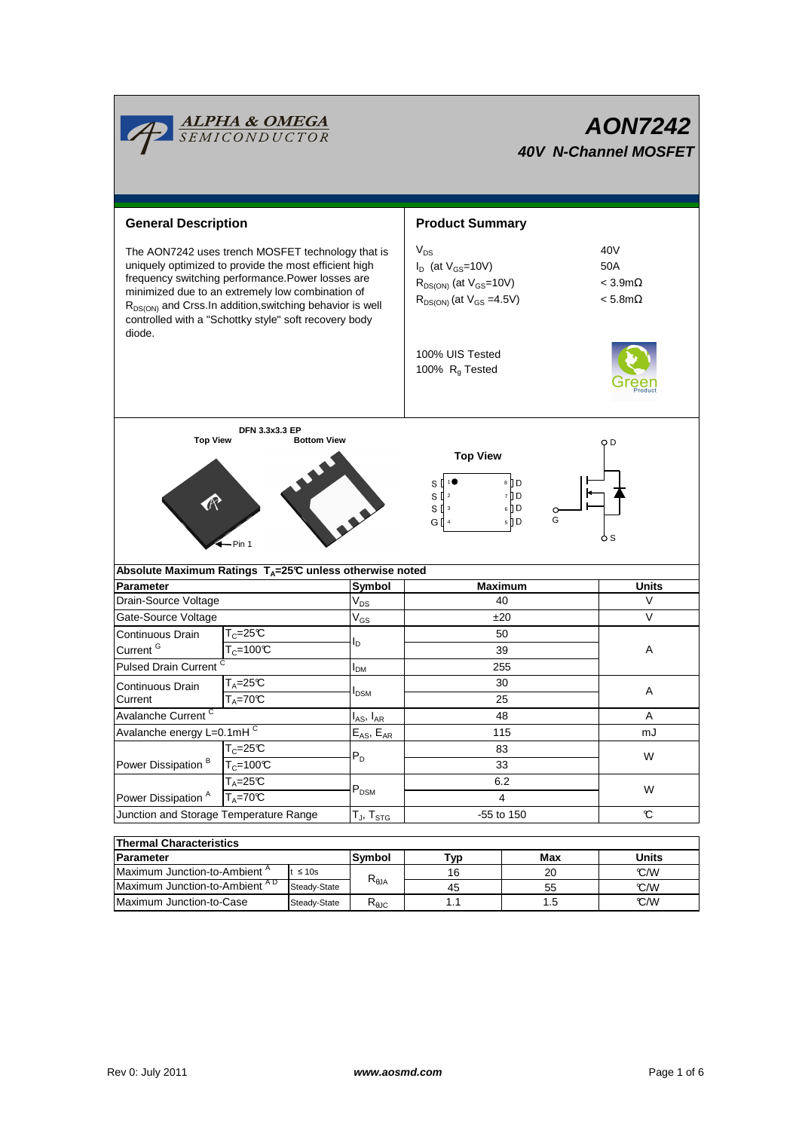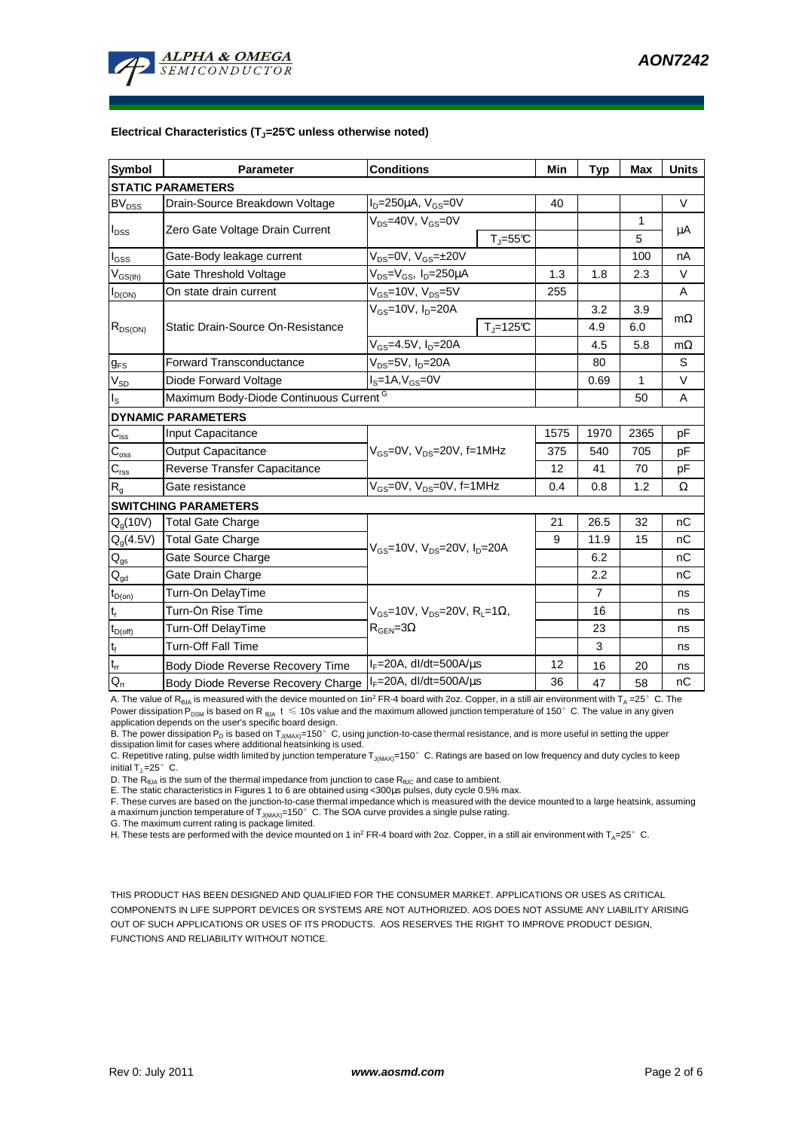

#### **Electrical Characteristics (TJ=25°C unless otherwise noted)**

| Symbol                      | <b>Parameter</b>                                   | <b>Conditions</b>                                                                    |                              | Min  | <b>Typ</b>     | <b>Max</b>   | <b>Units</b> |
|-----------------------------|----------------------------------------------------|--------------------------------------------------------------------------------------|------------------------------|------|----------------|--------------|--------------|
| <b>STATIC PARAMETERS</b>    |                                                    |                                                                                      |                              |      |                |              |              |
| <b>BV<sub>DSS</sub></b>     | Drain-Source Breakdown Voltage                     | $I_D = 250 \mu A$ , $V_{GS} = 0V$                                                    |                              | 40   |                |              | $\vee$       |
| $I_{DSS}$                   | Zero Gate Voltage Drain Current                    | $V_{DS}$ =40V, $V_{GS}$ =0V                                                          |                              |      |                | 1            |              |
|                             |                                                    |                                                                                      | $T_{\text{J}} = 55^{\circ}C$ |      |                | 5            | μA           |
| I <sub>GSS</sub>            | Gate-Body leakage current                          | $V_{DS} = 0V$ , $V_{GS} = \pm 20V$                                                   |                              |      |                | 100          | nA           |
| $V_{GS(th)}$                | Gate Threshold Voltage                             | V <sub>DS</sub> =V <sub>GS</sub> , I <sub>D</sub> =250µA                             |                              | 1.3  | 1.8            | 2.3          | $\vee$       |
| $I_{D(ON)}$                 | On state drain current                             | $V_{GS}$ =10V, $V_{DS}$ =5V                                                          |                              | 255  |                |              | A            |
| $R_{DS(ON)}$                | Static Drain-Source On-Resistance                  | $V_{GS}$ =10V, $I_D$ =20A                                                            |                              |      | 3.2            | 3.9          | $m\Omega$    |
|                             |                                                    |                                                                                      | $Tj=125C$                    |      | 4.9            | 6.0          |              |
|                             |                                                    | $V_{GS}$ =4.5V, $I_D$ =20A                                                           |                              |      | 4.5            | 5.8          | $m\Omega$    |
| $g_{FS}$                    | <b>Forward Transconductance</b>                    | V <sub>ns</sub> =5V, I <sub>n</sub> =20A                                             |                              |      | 80             |              | S            |
| $V_{SD}$                    | Diode Forward Voltage                              | $I_S = 1A$ , $V_{GS} = 0V$                                                           |                              |      | 0.69           | $\mathbf{1}$ | V            |
| $I_{\tt S}$                 | Maximum Body-Diode Continuous Current <sup>G</sup> |                                                                                      |                              |      |                | 50           | A            |
|                             | <b>DYNAMIC PARAMETERS</b>                          |                                                                                      |                              |      |                |              |              |
| $C_{iss}$                   | Input Capacitance                                  | $V_{GS}$ =0V, $V_{DS}$ =20V, f=1MHz                                                  |                              | 1575 | 1970           | 2365         | pF           |
| $C_{\rm oss}$               | <b>Output Capacitance</b>                          |                                                                                      |                              | 375  | 540            | 705          | рF           |
| $\mathsf{C}_{\mathsf{rss}}$ | Reverse Transfer Capacitance                       |                                                                                      |                              | 12   | 41             | 70           | pF           |
| R <sub>g</sub>              | Gate resistance                                    | $V_{GS}$ =0V, $V_{DS}$ =0V, f=1MHz                                                   |                              | 0.4  | 0.8            | 1.2          | Ω            |
| <b>SWITCHING PARAMETERS</b> |                                                    |                                                                                      |                              |      |                |              |              |
| $Q_q(10V)$                  | Total Gate Charge                                  | $V_{\rm GS}$ =10V, $V_{\rm DS}$ =20V, $I_{\rm D}$ =20A                               |                              | 21   | 26.5           | 32           | nC           |
| $Q_q(4.5V)$                 | <b>Total Gate Charge</b>                           |                                                                                      |                              | 9    | 11.9           | 15           | nC           |
| $\mathsf{Q}_{\mathsf{gs}}$  | Gate Source Charge                                 |                                                                                      |                              |      | 6.2            |              | nC           |
| $Q_{gd}$                    | Gate Drain Charge                                  |                                                                                      |                              |      | 2.2            |              | nC           |
| $t_{D(on)}$                 | Turn-On DelayTime                                  | $V_{\rm cs}$ =10V, $V_{\rm ns}$ =20V, $R_{\rm i}$ =1Ω,<br>$R_{\text{GEN}} = 3\Omega$ |                              |      | $\overline{7}$ |              | ns           |
| $\mathfrak{t}_{\mathsf{r}}$ | Turn-On Rise Time                                  |                                                                                      |                              |      | 16             |              | ns           |
| $t_{D(off)}$                | Turn-Off DelayTime                                 |                                                                                      |                              |      | 23             |              | ns           |
| $t_f$                       | <b>Turn-Off Fall Time</b>                          |                                                                                      |                              |      | 3              |              | ns           |
| $\mathfrak{t}_{\text{rr}}$  | Body Diode Reverse Recovery Time                   | $I_F = 20A$ , dl/dt=500A/ $\mu$ s                                                    |                              | 12   | 16             | 20           | ns           |
| $Q_{rr}$                    | Body Diode Reverse Recovery Charge                 | $I_F = 20A$ , dl/dt=500A/ $\mu$ s                                                    |                              | 36   | 47             | 58           | nC           |

A. The value of R<sub>θJA</sub> is measured with the device mounted on 1in<sup>2</sup> FR-4 board with 2oz. Copper, in a still air environment with T<sub>A</sub> =25°C. The Power dissipation P<sub>DSM</sub> is based on R<sub>6JA</sub> t  $\leq$  10s value and the maximum allowed junction temperature of 150°C. The value in any given application depends on the user's specific board design.

B. The power dissipation P<sub>D</sub> is based on T<sub>J(MAX)</sub>=150°C, using junction-to-case thermal resistance, and is more useful in setting the upper dissipation limit for cases where additional heatsinking is used.

C. Repetitive rating, pulse width limited by junction temperature  $T_{J(MAX)}$ =150°C. Ratings are based on low frequency and duty cycles to keep initial  $T_J = 25^\circ$  C.

D. The  $R_{\thetaJA}$  is the sum of the thermal impedance from junction to case  $R_{\thetaJC}$  and case to ambient.

E. The static characteristics in Figures 1 to 6 are obtained using <300us pulses, duty cycle 0.5% max.

F. These curves are based on the junction-to-case thermal impedance which is measured with the device mounted to a large heatsink, assuming a maximum junction temperature of  $T_{J(MAX)}$ =150° C. The SOA curve provides a single pulse rating.

G. The maximum current rating is package limited.

H. These tests are performed with the device mounted on 1 in<sup>2</sup> FR-4 board with 2oz. Copper, in a still air environment with T<sub>A</sub>=25°C.

THIS PRODUCT HAS BEEN DESIGNED AND QUALIFIED FOR THE CONSUMER MARKET. APPLICATIONS OR USES AS CRITICAL COMPONENTS IN LIFE SUPPORT DEVICES OR SYSTEMS ARE NOT AUTHORIZED. AOS DOES NOT ASSUME ANY LIABILITY ARISING OUT OF SUCH APPLICATIONS OR USES OF ITS PRODUCTS. AOS RESERVES THE RIGHT TO IMPROVE PRODUCT DESIGN, FUNCTIONS AND RELIABILITY WITHOUT NOTICE.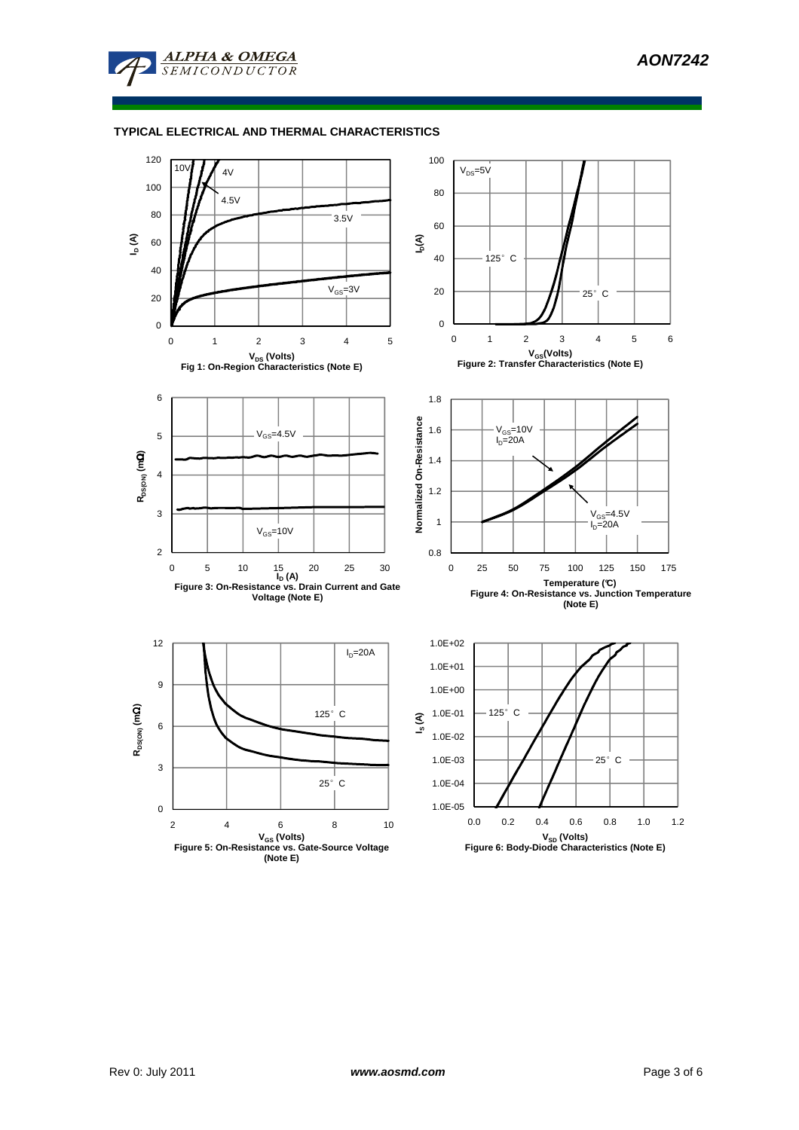

### **TYPICAL ELECTRICAL AND THERMAL CHARACTERISTICS**

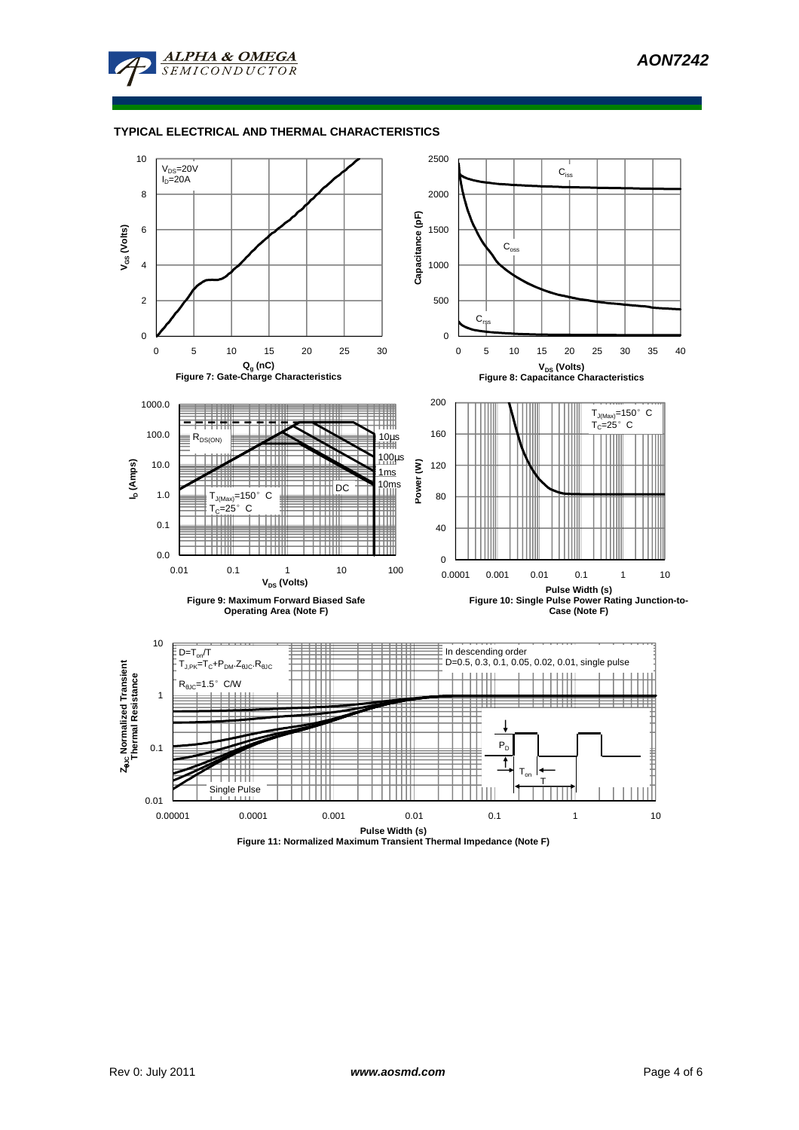

### **TYPICAL ELECTRICAL AND THERMAL CHARACTERISTICS**



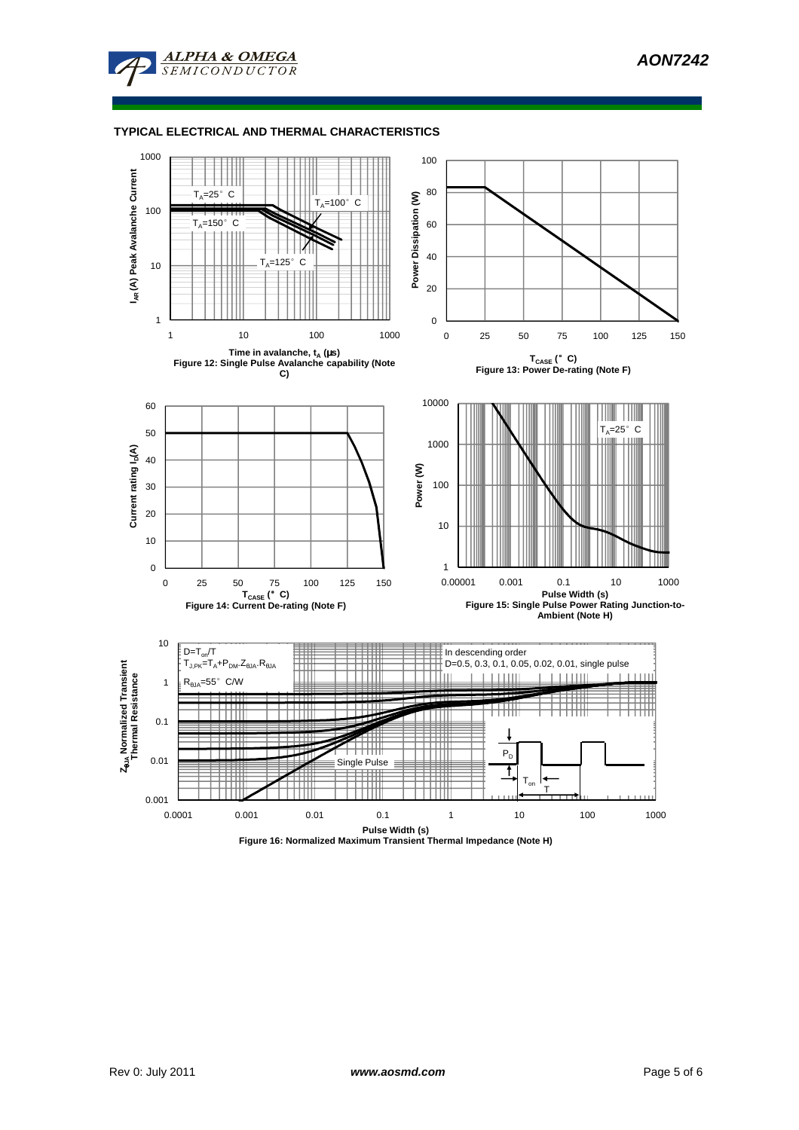

**ALPHA & OMEGA** 

MICONDUCTOR

 $\overline{S}F$